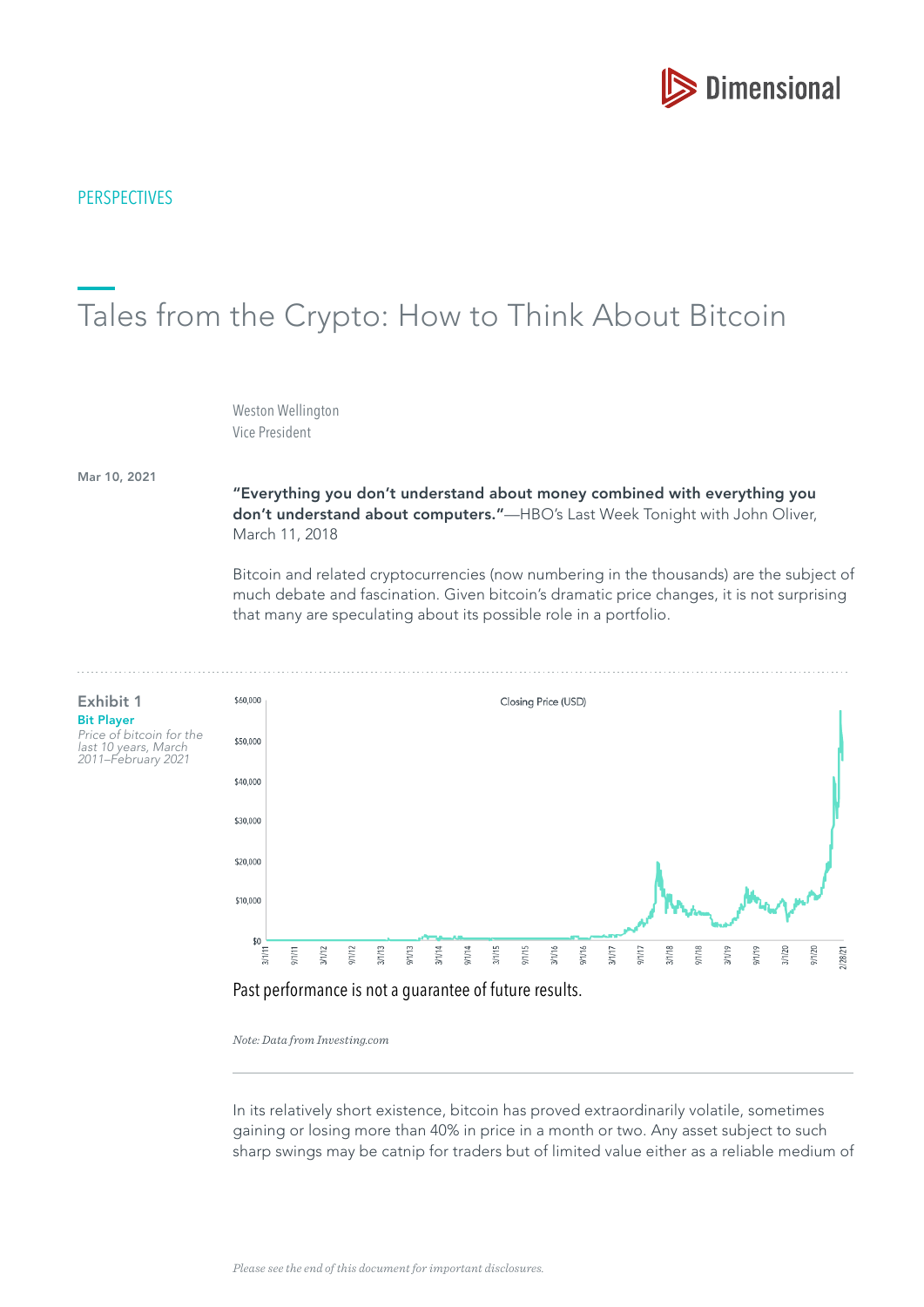

# **PERSPECTIVES**

# Tales from the Crypto: How to Think About Bitcoin

Weston Wellington Vice President

Mar 10, 2021

#### "Everything you don't understand about money combined with everything you don't understand about computers."-HBO's Last Week Tonight with John Oliver, March 11, 2018

Bitcoin and related cryptocurrencies (now numbering in the thousands) are the subject of much debate and fascination. Given bitcoin's dramatic price changes, it is not surprising that many are speculating about its possible role in a portfolio.



#### Past performance is not a guarantee of future results.

*Note: Data from Investing.com*

In its relatively short existence, bitcoin has proved extraordinarily volatile, sometimes gaining or losing more than 40% in price in a month or two. Any asset subject to such sharp swings may be catnip for traders but of limited value either as a reliable medium of

Exhibit 1 Bit Player Price of bitcoin for the

last 10 years, March 2011–February 2021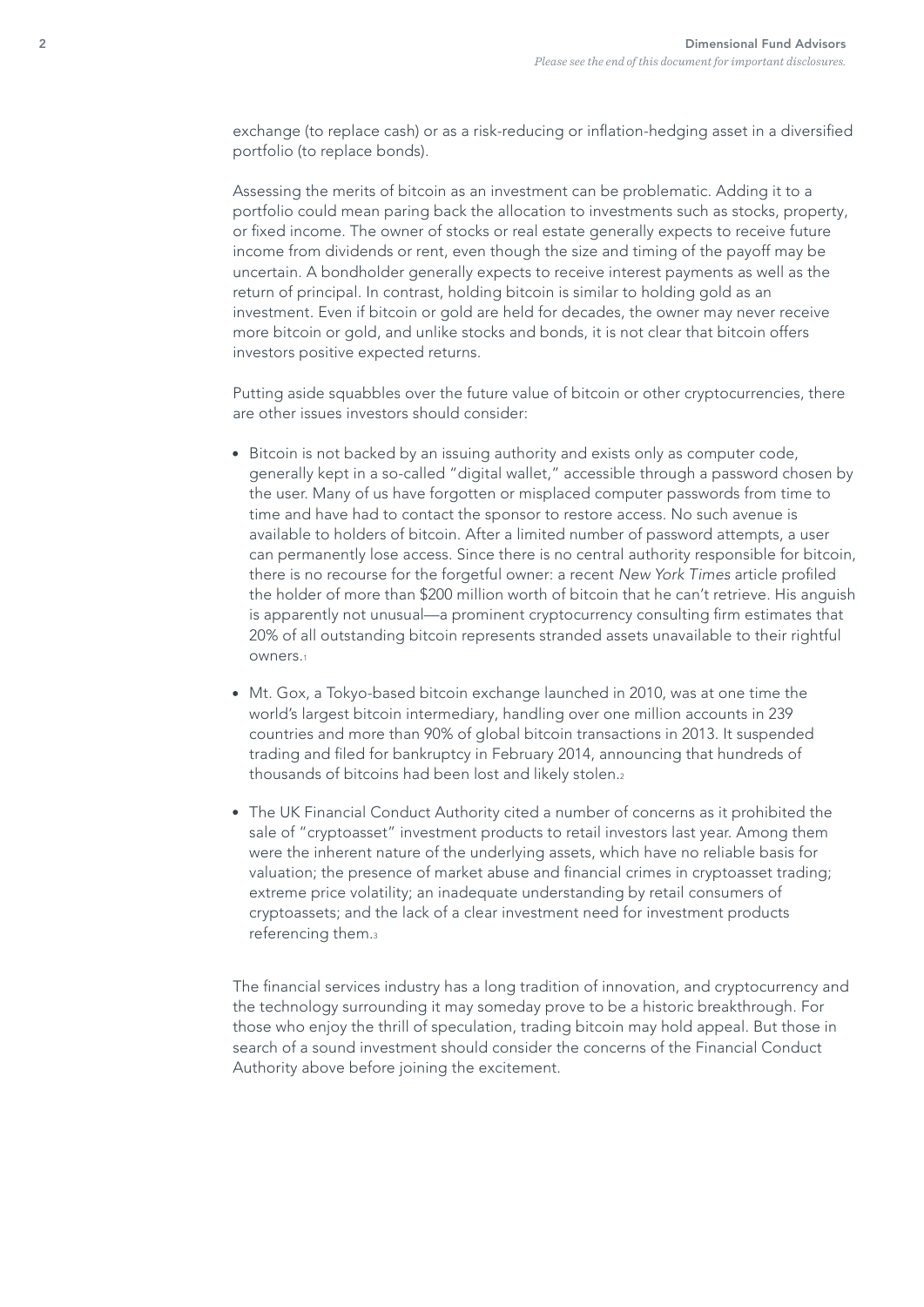exchange (to replace cash) or as a risk-reducing or infation-hedging asset in a diversifed portfolio (to replace bonds).

Assessing the merits of bitcoin as an investment can be problematic. Adding it to a portfolio could mean paring back the allocation to investments such as stocks, property, or fixed income. The owner of stocks or real estate generally expects to receive future income from dividends or rent, even though the size and timing of the payoff may be uncertain. A bondholder generally expects to receive interest payments as well as the return of principal. In contrast, holding bitcoin is similar to holding gold as an investment. Even if bitcoin or gold are held for decades, the owner may never receive more bitcoin or gold, and unlike stocks and bonds, it is not clear that bitcoin offers investors positive expected returns.

Putting aside squabbles over the future value of bitcoin or other cryptocurrencies, there are other issues investors should consider:

- **Bitcoin is not backed by an issuing authority and exists only as computer code,** generally kept in a so-called "digital wallet," accessible through a password chosen by the user. Many of us have forgotten or misplaced computer passwords from time to time and have had to contact the sponsor to restore access. No such avenue is available to holders of bitcoin. After a limited number of password attempts, a user can permanently lose access. Since there is no central authority responsible for bitcoin, there is no recourse for the forgetful owner: a recent New York Times article profiled the holder of more than \$200 million worth of bitcoin that he can't retrieve. His anguish is apparently not unusual—a prominent cryptocurrency consulting frm estimates that 20% of all outstanding bitcoin represents stranded assets unavailable to their rightful owners.<sup>1</sup>
- Mt. Gox, a Tokyo-based bitcoin exchange launched in 2010, was at one time the world's largest bitcoin intermediary, handling over one million accounts in 239 countries and more than 90% of global bitcoin transactions in 2013. It suspended trading and fled for bankruptcy in February 2014, announcing that hundreds of thousands of bitcoins had been lost and likely stolen.<sup>2</sup>
- The UK Financial Conduct Authority cited a number of concerns as it prohibited the sale of "cryptoasset" investment products to retail investors last year. Among them were the inherent nature of the underlying assets, which have no reliable basis for valuation; the presence of market abuse and fnancial crimes in cryptoasset trading; extreme price volatility; an inadequate understanding by retail consumers of cryptoassets; and the lack of a clear investment need for investment products referencing them.<sup>3</sup>

The fnancial services industry has a long tradition of innovation, and cryptocurrency and the technology surrounding it may someday prove to be a historic breakthrough. For those who enjoy the thrill of speculation, trading bitcoin may hold appeal. But those in search of a sound investment should consider the concerns of the Financial Conduct Authority above before joining the excitement.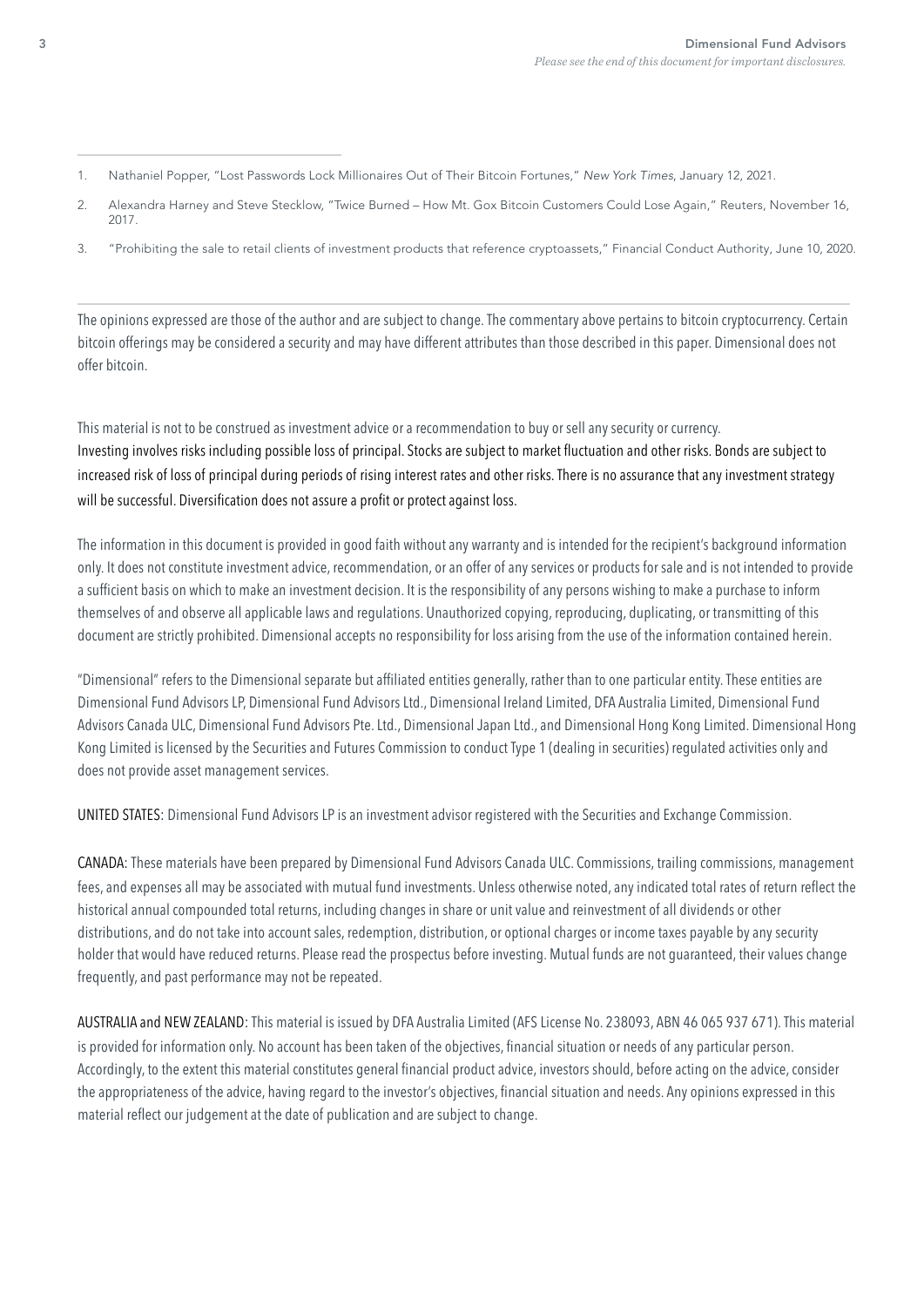- 1. Nathaniel Popper, "Lost Passwords Lock Millionaires Out of Their Bitcoin Fortunes," New York Times, January 12, 2021.
- 2. Alexandra Harney and Steve Stecklow, "Twice Burned How Mt. Gox Bitcoin Customers Could Lose Again," Reuters, November 16, 2017.
- 3. "Prohibiting the sale to retail clients of investment products that reference cryptoassets," Financial Conduct Authority, June 10, 2020.

 The opinions expressed are those of the author and are subject to change. The commentary above pertains to bitcoin cryptocurrency. Certain bitcoin offerings may be considered a security and may have different attributes than those described in this paper. Dimensional does not offer bitcoin.

This material is not to be construed as investment advice or a recommendation to buy or sell any security or currency. Investing involves risks including possible loss of principal. Stocks are subject to market fuctuation and other risks. Bonds are subject to increased risk of loss of principal during periods of rising interest rates and other risks. There is no assurance that any investment strategy will be successful. Diversification does not assure a profit or protect against loss.

The information in this document is provided in good faith without any warranty and is intended for the recipient's background information only. It does not constitute investment advice, recommendation, or an offer of any services or products for sale and is not intended to provide a suffcient basis on which to make an investment decision. It is the responsibility of any persons wishing to make a purchase to inform themselves of and observe all applicable laws and regulations. Unauthorized copying, reproducing, duplicating, or transmitting of this document are strictly prohibited. Dimensional accepts no responsibility for loss arising from the use of the information contained herein.

"Dimensional" refers to the Dimensional separate but affliated entities generally, rather than to one particular entity. These entities are Dimensional Fund Advisors LP, Dimensional Fund Advisors Ltd., Dimensional Ireland Limited, DFA Australia Limited, Dimensional Fund Advisors Canada ULC, Dimensional Fund Advisors Pte. Ltd., Dimensional Japan Ltd., and Dimensional Hong Kong Limited. Dimensional Hong Kong Limited is licensed by the Securities and Futures Commission to conduct Type 1 (dealing in securities) regulated activities only and does not provide asset management services.

UNITED STATES: Dimensional Fund Advisors LP is an investment advisor registered with the Securities and Exchange Commission.

CANADA: These materials have been prepared by Dimensional Fund Advisors Canada ULC. Commissions, trailing commissions, management fees, and expenses all may be associated with mutual fund investments. Unless otherwise noted, any indicated total rates of return refect the historical annual compounded total returns, including changes in share or unit value and reinvestment of all dividends or other distributions, and do not take into account sales, redemption, distribution, or optional charges or income taxes payable by any security holder that would have reduced returns. Please read the prospectus before investing. Mutual funds are not guaranteed, their values change frequently, and past performance may not be repeated.

AUSTRALIA and NEW ZEALAND: This material is issued by DFA Australia Limited (AFS License No. 238093, ABN 46 065 937 671). This material is provided for information only. No account has been taken of the objectives, financial situation or needs of any particular person. Accordingly, to the extent this material constitutes general fnancial product advice, investors should, before acting on the advice, consider the appropriateness of the advice, having regard to the investor's objectives, fnancial situation and needs. Any opinions expressed in this material refect our judgement at the date of publication and are subject to change.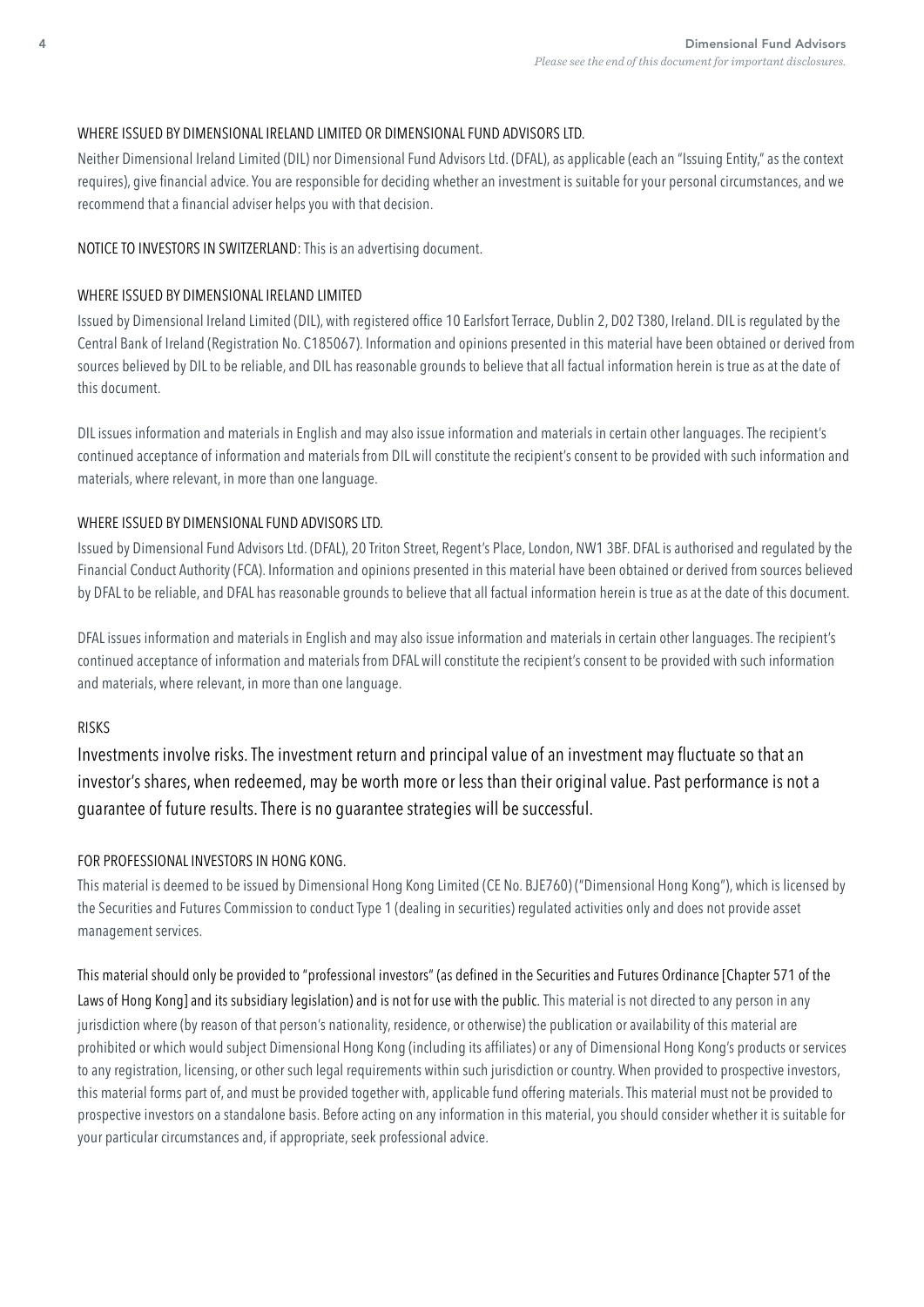# WHERE ISSUED BY DIMENSIONAL IRELAND LIMITED OR DIMENSIONAL FUND ADVISORS LTD.

Neither Dimensional Ireland Limited (DIL) nor Dimensional Fund Advisors Ltd. (DFAL), as applicable (each an "Issuing Entity," as the context requires), give fnancial advice. You are responsible for deciding whether an investment is suitable for your personal circumstances, and we recommend that a financial adviser helps you with that decision.

#### NOTICE TO INVESTORS IN SWITZERLAND: This is an advertising document.

#### WHERE ISSUED BY DIMENSIONAL IRELAND LIMITED

Issued by Dimensional Ireland Limited (DIL), with registered office 10 Earlsfort Terrace, Dublin 2, D02 T380, Ireland. DIL is regulated by the Central Bank of Ireland (Registration No. C185067). Information and opinions presented in this material have been obtained or derived from sources believed by DIL to be reliable, and DIL has reasonable grounds to believe that all factual information herein is true as at the date of this document.

DIL issues information and materials in English and may also issue information and materials in certain other languages. The recipient's continued acceptance of information and materials from DIL will constitute the recipient's consent to be provided with such information and materials, where relevant, in more than one language.

#### WHERE ISSUED BY DIMENSIONAL FUND ADVISORS LTD.

Issued by Dimensional Fund Advisors Ltd. (DFAL), 20 Triton Street, Regent's Place, London, NW1 3BF. DFAL is authorised and regulated by the Financial Conduct Authority (FCA). Information and opinions presented in this material have been obtained or derived from sources believed by DFAL to be reliable, and DFAL has reasonable grounds to believe that all factual information herein is true as at the date of this document.

DFAL issues information and materials in English and may also issue information and materials in certain other languages. The recipient's continued acceptance of information and materials from DFAL will constitute the recipient's consent to be provided with such information and materials, where relevant, in more than one language.

# RISKS

Investments involve risks. The investment return and principal value of an investment may fuctuate so that an investor's shares, when redeemed, may be worth more or less than their original value. Past performance is not a guarantee of future results. There is no guarantee strategies will be successful.

# FOR PROFESSIONAL INVESTORS IN HONG KONG.

This material is deemed to be issued by Dimensional Hong Kong Limited (CE No. BJE760) ("Dimensional Hong Kong"), which is licensed by the Securities and Futures Commission to conduct Type 1 (dealing in securities) regulated activities only and does not provide asset management services.

This material should only be provided to "professional investors" (as defned in the Securities and Futures Ordinance [Chapter 571 of the Laws of Hong Kong] and its subsidiary legislation) and is not for use with the public. This material is not directed to any person in any jurisdiction where (by reason of that person's nationality, residence, or otherwise) the publication or availability of this material are prohibited or which would subject Dimensional Hong Kong (including its affliates) or any of Dimensional Hong Kong's products or services to any registration, licensing, or other such legal requirements within such jurisdiction or country. When provided to prospective investors, this material forms part of, and must be provided together with, applicable fund offering materials. This material must not be provided to prospective investors on a standalone basis. Before acting on any information in this material, you should consider whether it is suitable for your particular circumstances and, if appropriate, seek professional advice.